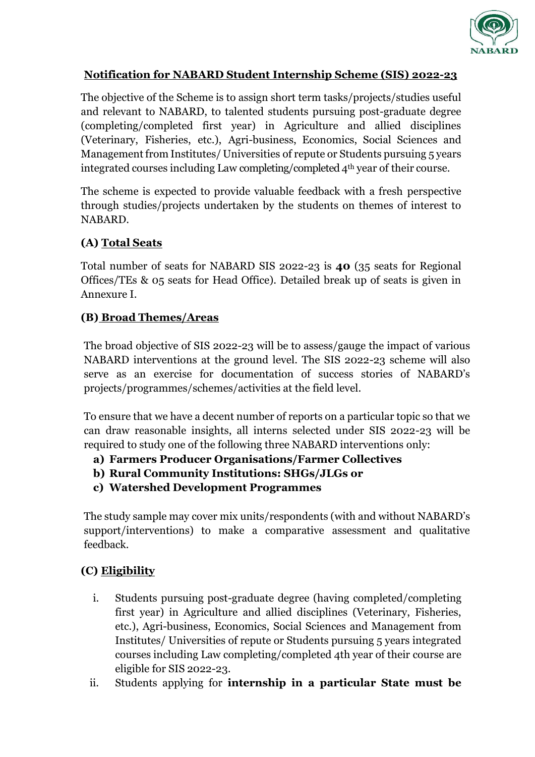

#### **Notification for NABARD Student Internship Scheme (SIS) 2022-23**

The objective of the Scheme is to assign short term tasks/projects/studies useful and relevant to NABARD, to talented students pursuing post-graduate degree (completing/completed first year) in Agriculture and allied disciplines (Veterinary, Fisheries, etc.), Agri-business, Economics, Social Sciences and Management from Institutes/ Universities of repute or Students pursuing 5 years integrated courses including Law completing/completed 4th year of their course.

The scheme is expected to provide valuable feedback with a fresh perspective through studies/projects undertaken by the students on themes of interest to NABARD.

#### **(A) Total Seats**

Total number of seats for NABARD SIS 2022-23 is **40** (35 seats for Regional Offices/TEs & 05 seats for Head Office). Detailed break up of seats is given in Annexure I.

#### **(B) Broad Themes/Areas**

The broad objective of SIS 2022-23 will be to assess/gauge the impact of various NABARD interventions at the ground level. The SIS 2022-23 scheme will also serve as an exercise for documentation of success stories of NABARD's projects/programmes/schemes/activities at the field level.

To ensure that we have a decent number of reports on a particular topic so that we can draw reasonable insights, all interns selected under SIS 2022-23 will be required to study one of the following three NABARD interventions only:

- **a) Farmers Producer Organisations/Farmer Collectives**
- **b) Rural Community Institutions: SHGs/JLGs or**
- **c) Watershed Development Programmes**

The study sample may cover mix units/respondents (with and without NABARD's support/interventions) to make a comparative assessment and qualitative feedback.

# **(C) Eligibility**

- i. Students pursuing post-graduate degree (having completed/completing first year) in Agriculture and allied disciplines (Veterinary, Fisheries, etc.), Agri-business, Economics, Social Sciences and Management from Institutes/ Universities of repute or Students pursuing 5 years integrated courses including Law completing/completed 4th year of their course are eligible for SIS 2022-23.
- ii. Students applying for **internship in a particular State must be**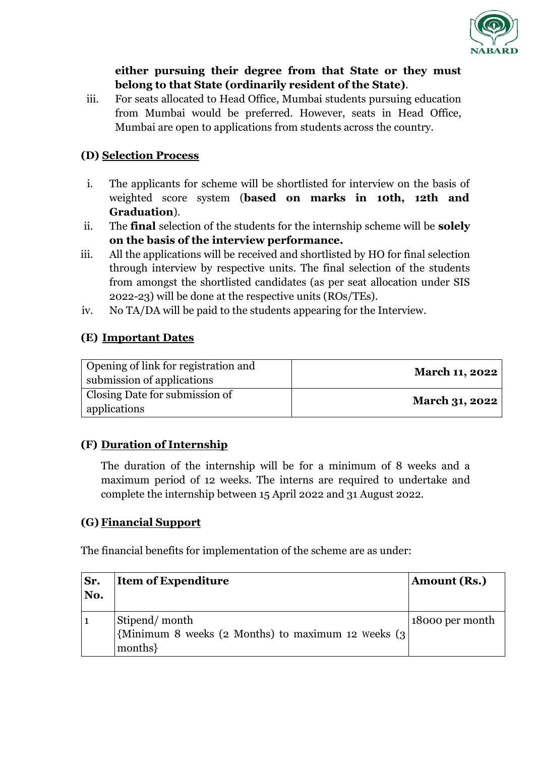

#### **either pursuing their degree from that State or they must belong to that State (ordinarily resident of the State)**.

iii. For seats allocated to Head Office, Mumbai students pursuing education from Mumbai would be preferred. However, seats in Head Office, Mumbai are open to applications from students across the country.

# **(D) Selection Process**

- i. The applicants for scheme will be shortlisted for interview on the basis of weighted score system (**based on marks in 10th, 12th and Graduation**).
- ii. The **final** selection of the students for the internship scheme will be **solely on the basis of the interview performance.**
- iii. All the applications will be received and shortlisted by HO for final selection through interview by respective units. The final selection of the students from amongst the shortlisted candidates (as per seat allocation under SIS 2022-23) will be done at the respective units (ROs/TEs).
- iv. No TA/DA will be paid to the students appearing for the Interview.

# **(E) Important Dates**

| Opening of link for registration and<br>submission of applications | <b>March 11, 2022</b> |
|--------------------------------------------------------------------|-----------------------|
| Closing Date for submission of<br>applications                     | <b>March 31, 2022</b> |

# **(F) Duration of Internship**

The duration of the internship will be for a minimum of 8 weeks and a maximum period of 12 weeks. The interns are required to undertake and complete the internship between 15 April 2022 and 31 August 2022.

# **(G) Financial Support**

The financial benefits for implementation of the scheme are as under:

| Sr.<br>No. | <b>Item of Expenditure</b>                                         | Amount (Rs.)    |
|------------|--------------------------------------------------------------------|-----------------|
|            | Stipend/month                                                      | 18000 per month |
|            | $\vert$ {Minimum 8 weeks (2 Months) to maximum 12 weeks (3 $\vert$ |                 |
|            | months                                                             |                 |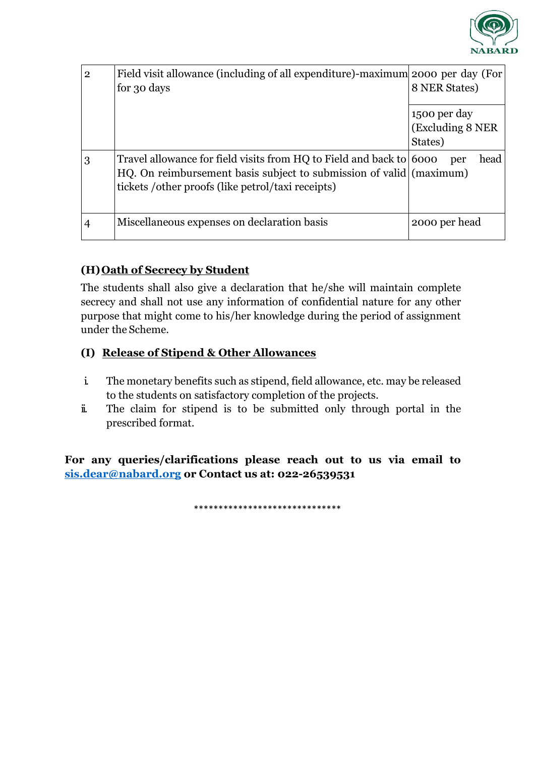

| $\overline{2}$ | Field visit allowance (including of all expenditure)-maximum 2000 per day (For<br>for 30 days                                              | 8 NER States)     |
|----------------|--------------------------------------------------------------------------------------------------------------------------------------------|-------------------|
|                |                                                                                                                                            | 1500 per day      |
|                |                                                                                                                                            | (Excluding 8 NER) |
|                |                                                                                                                                            | States)           |
| 3              | Travel allowance for field visits from HQ to Field and back to 6000<br>HQ. On reimbursement basis subject to submission of valid (maximum) | head<br>per       |
|                | tickets / other proofs (like petrol/taxi receipts)                                                                                         |                   |
|                | Miscellaneous expenses on declaration basis                                                                                                | 2000 per head     |

# **(H)Oath of Secrecy by Student**

The students shall also give a declaration that he/she will maintain complete secrecy and shall not use any information of confidential nature for any other purpose that might come to his/her knowledge during the period of assignment under the Scheme.

#### **(I) Release of Stipend & Other Allowances**

- i. The monetary benefits such as stipend, field allowance, etc. may be released to the students on satisfactory completion of the projects.
- ii. The claim for stipend is to be submitted only through portal in the prescribed format.

**For any queries/clarifications please reach out to us via email to [sis.dear@nabard.org](mailto:sis.dear@nabard.org) or Contact us at: 022-26539531**

\*\*\*\*\*\*\*\*\*\*\*\*\*\*\*\*\*\*\*\*\*\*\*\*\*\*\*\*\*\*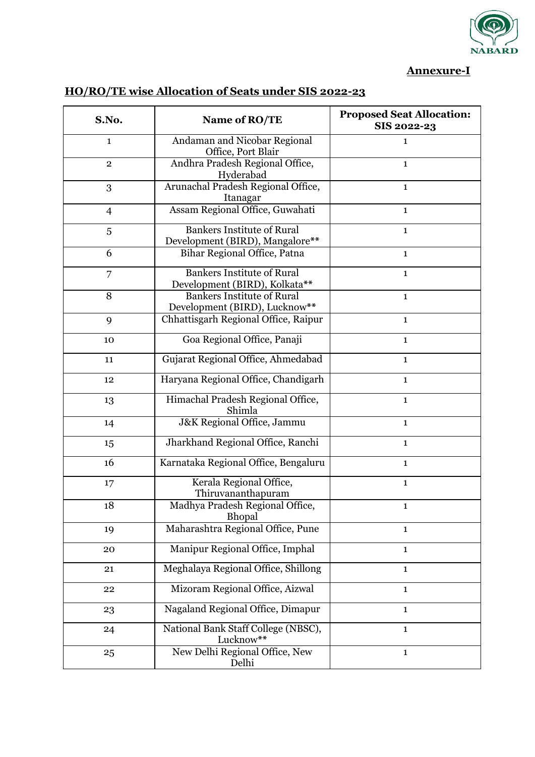

#### **Annexure-I**

| S.No.          | Name of RO/TE                                                        | <b>Proposed Seat Allocation:</b><br>SIS 2022-23 |
|----------------|----------------------------------------------------------------------|-------------------------------------------------|
| $\mathbf{1}$   | Andaman and Nicobar Regional<br>Office, Port Blair                   | $\mathbf{1}$                                    |
| $\overline{2}$ | Andhra Pradesh Regional Office,<br>Hyderabad                         | $\mathbf{1}$                                    |
| 3              | Arunachal Pradesh Regional Office,<br>Itanagar                       | $\mathbf{1}$                                    |
| $\overline{4}$ | Assam Regional Office, Guwahati                                      | $\mathbf{1}$                                    |
| 5              | <b>Bankers Institute of Rural</b><br>Development (BIRD), Mangalore** | $\mathbf{1}$                                    |
| 6              | Bihar Regional Office, Patna                                         | $\mathbf{1}$                                    |
| 7              | <b>Bankers Institute of Rural</b><br>Development (BIRD), Kolkata**   | $\mathbf{1}$                                    |
| 8              | <b>Bankers Institute of Rural</b><br>Development (BIRD), Lucknow**   | $\mathbf{1}$                                    |
| 9              | Chhattisgarh Regional Office, Raipur                                 | $\mathbf{1}$                                    |
| 10             | Goa Regional Office, Panaji                                          | $\mathbf{1}$                                    |
| 11             | Gujarat Regional Office, Ahmedabad                                   | $\mathbf{1}$                                    |
| 12             | Haryana Regional Office, Chandigarh                                  | $\mathbf{1}$                                    |
| 13             | Himachal Pradesh Regional Office,<br>Shimla                          | $\mathbf{1}$                                    |
| 14             | J&K Regional Office, Jammu                                           | $\mathbf{1}$                                    |
| 15             | Jharkhand Regional Office, Ranchi                                    | $\mathbf{1}$                                    |
| 16             | Karnataka Regional Office, Bengaluru                                 | $\mathbf{1}$                                    |
| 17             | Kerala Regional Office,<br>Thiruvananthapuram                        | $\mathbf{1}$                                    |
| 18             | Madhya Pradesh Regional Office,<br>Bhopal                            | 1                                               |
| 19             | Maharashtra Regional Office, Pune                                    | $\mathbf{1}$                                    |
| 20             | Manipur Regional Office, Imphal                                      | $\mathbf{1}$                                    |
| 21             | Meghalaya Regional Office, Shillong                                  | $\mathbf{1}$                                    |
| 22             | Mizoram Regional Office, Aizwal                                      | $\mathbf{1}$                                    |
| 23             | Nagaland Regional Office, Dimapur                                    | $\mathbf{1}$                                    |
| 24             | National Bank Staff College (NBSC),<br>Lucknow**                     | $\mathbf{1}$                                    |
| 25             | New Delhi Regional Office, New<br>Delhi                              | $\mathbf{1}$                                    |

# **HO/RO/TE wise Allocation of Seats under SIS 2022-23**